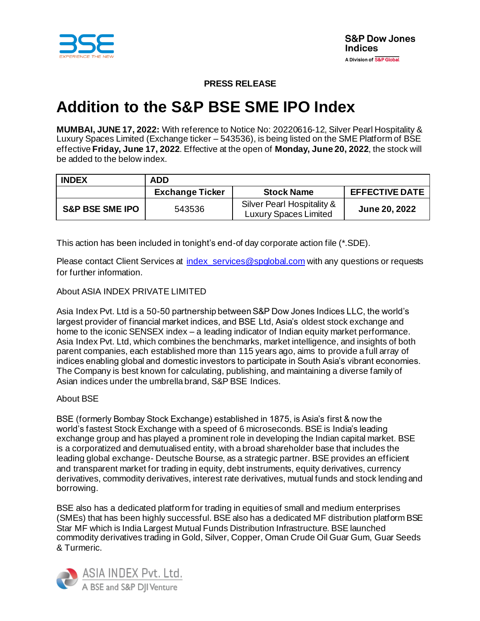

## **PRESS RELEASE**

# **Addition to the S&P BSE SME IPO Index**

**MUMBAI, JUNE 17, 2022:** With reference to Notice No: 20220616-12, Silver Pearl Hospitality & Luxury Spaces Limited (Exchange ticker – 543536), is being listed on the SME Platform of BSE effective **Friday, June 17, 2022**. Effective at the open of **Monday, June 20, 2022**, the stock will be added to the below index.

| <b>INDEX</b>               | <b>ADD</b>             |                                                            |                       |
|----------------------------|------------------------|------------------------------------------------------------|-----------------------|
|                            | <b>Exchange Ticker</b> | <b>Stock Name</b>                                          | <b>EFFECTIVE DATE</b> |
| <b>S&amp;P BSE SME IPO</b> | 543536                 | Silver Pearl Hospitality &<br><b>Luxury Spaces Limited</b> | <b>June 20, 2022</b>  |

This action has been included in tonight's end-of day corporate action file (\*.SDE).

Please contact Client Services at index services@spglobal.com with any questions or requests for further information.

### About ASIA INDEX PRIVATE LIMITED

Asia Index Pvt. Ltd is a 50-50 partnership between S&P Dow Jones Indices LLC, the world's largest provider of financial market indices, and BSE Ltd, Asia's oldest stock exchange and home to the iconic SENSEX index – a leading indicator of Indian equity market performance. Asia Index Pvt. Ltd, which combines the benchmarks, market intelligence, and insights of both parent companies, each established more than 115 years ago, aims to provide a full array of indices enabling global and domestic investors to participate in South Asia's vibrant economies. The Company is best known for calculating, publishing, and maintaining a diverse family of Asian indices under the umbrella brand, S&P BSE Indices.

#### About BSE

BSE (formerly Bombay Stock Exchange) established in 1875, is Asia's first & now the world's fastest Stock Exchange with a speed of 6 microseconds. BSE is India's leading exchange group and has played a prominent role in developing the Indian capital market. BSE is a corporatized and demutualised entity, with a broad shareholder base that includes the leading global exchange- Deutsche Bourse, as a strategic partner. BSE provides an efficient and transparent market for trading in equity, debt instruments, equity derivatives, currency derivatives, commodity derivatives, interest rate derivatives, mutual funds and stock lending and borrowing.

BSE also has a dedicated platform for trading in equities of small and medium enterprises (SMEs) that has been highly successful. BSE also has a dedicated MF distribution platform BSE Star MF which is India Largest Mutual Funds Distribution Infrastructure. BSE launched commodity derivatives trading in Gold, Silver, Copper, Oman Crude Oil Guar Gum, Guar Seeds & Turmeric.